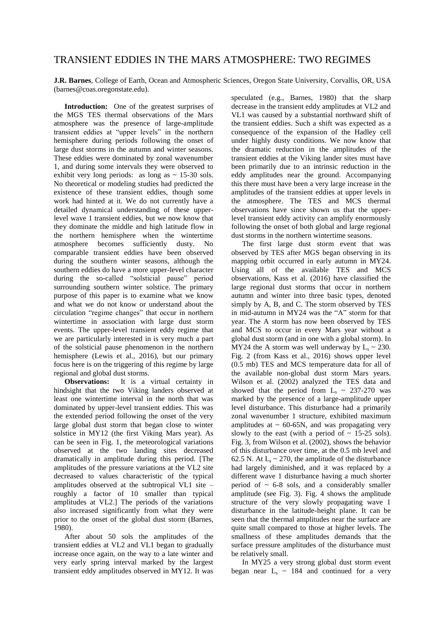## TRANSIENT EDDIES IN THE MARS ATMOSPHERE: TWO REGIMES

**J.R. Barnes**, College of Earth, Ocean and Atmospheric Sciences, Oregon State University, Corvallis, OR, USA (barnes@coas.oregonstate.edu).

**Introduction:** One of the greatest surprises of the MGS TES thermal observations of the Mars atmosphere was the presence of large-amplitude transient eddies at "upper levels" in the northern hemisphere during periods following the onset of large dust storms in the autumn and winter seasons. These eddies were dominated by zonal wavenumber 1, and during some intervals they were observed to exhibit very long periods: as long as  $\sim$  15-30 sols. No theoretical or modeling studies had predicted the existence of these transient eddies, though some work had hinted at it. We do not currently have a detailed dynamical understanding of these upperlevel wave 1 transient eddies, but we now know that they dominate the middle and high latitude flow in the northern hemisphere when the wintertime atmosphere becomes sufficiently dusty. No comparable transient eddies have been observed during the southern winter seasons, although the southern eddies do have a more upper-level character during the so-called "solsticial pause" period surrounding southern winter solstice. The primary purpose of this paper is to examine what we know and what we do not know or understand about the circulation "regime changes" that occur in northern wintertime in association with large dust storm events. The upper-level transient eddy regime that we are particularly interested in is very much a part of the solsticial pause phenomenon in the northern hemisphere (Lewis et al., 2016), but our primary focus here is on the triggering of this regime by large regional and global dust storms.

**Observations:** It is a virtual certainty in hindsight that the two Viking landers observed at least one wintertime interval in the north that was dominated by upper-level transient eddies. This was the extended period following the onset of the very large global dust storm that began close to winter solstice in MY12 (the first Viking Mars year). As can be seen in Fig. 1, the meteorological variations observed at the two landing sites decreased dramatically in amplitude during this period. [The amplitudes of the pressure variations at the VL2 site decreased to values characteristic of the typical amplitudes observed at the subtropical VL1 site – roughly a factor of 10 smaller than typical amplitudes at VL2.] The periods of the variations also increased significantly from what they were prior to the onset of the global dust storm (Barnes, 1980).

After about 50 sols the amplitudes of the transient eddies at VL2 and VL1 began to gradually increase once again, on the way to a late winter and very early spring interval marked by the largest transient eddy amplitudes observed in MY12. It was

speculated (e.g., Barnes, 1980) that the sharp decrease in the transient eddy amplitudes at VL2 and VL1 was caused by a substantial northward shift of the transient eddies. Such a shift was expected as a consequence of the expansion of the Hadley cell under highly dusty conditions. We now know that the dramatic reduction in the amplitudes of the transient eddies at the Viking lander sites must have been primarily due to an intrinsic reduction in the eddy amplitudes near the ground. Accompanying this there must have been a very large increase in the amplitudes of the transient eddies at upper levels in the atmosphere. The TES and MCS thermal observations have since shown us that the upperlevel transient eddy activity can amplify enormously following the onset of both global and large regional dust storms in the northern wintertime seasons.

The first large dust storm event that was observed by TES after MGS began observing in its mapping orbit occurred in early autumn in MY24. Using all of the available TES and MCS observations, Kass et al. (2016) have classified the large regional dust storms that occur in northern autumn and winter into three basic types, denoted simply by A, B, and C. The storm observed by TES in mid-autumn in MY24 was the "A" storm for that year. The A storm has now been observed by TES and MCS to occur in every Mars year without a global dust storm (and in one with a global storm). In MY24 the A storm was well underway by  $L_s \sim 230$ . Fig. 2 (from Kass et al., 2016) shows upper level (0.5 mb) TES and MCS temperature data for all of the available non-global dust storm Mars years. Wilson et al. (2002) analyzed the TES data and showed that the period from  $L_s \sim 237-270$  was marked by the presence of a large-amplitude upper level disturbance. This disturbance had a primarily zonal wavenumber 1 structure, exhibited maximum amplitudes at  $\sim 60{\text -}65$ N, and was propagating very slowly to the east (with a period of  $\sim$  15-25 sols). Fig. 3, from Wilson et al. (2002), shows the behavior of this disturbance over time, at the 0.5 mb level and 62.5 N. At  $L_s \sim 270$ , the amplitude of the disturbance had largely diminished, and it was replaced by a different wave 1 disturbance having a much shorter period of  $\sim$  6-8 sols, and a considerably smaller amplitude (see Fig. 3). Fig. 4 shows the amplitude structure of the very slowly propagating wave 1 disturbance in the latitude-height plane. It can be seen that the thermal amplitudes near the surface are quite small compared to those at higher levels. The smallness of these amplitudes demands that the surface pressure amplitudes of the disturbance must be relatively small.

In MY25 a very strong global dust storm event began near  $L_s \sim 184$  and continued for a very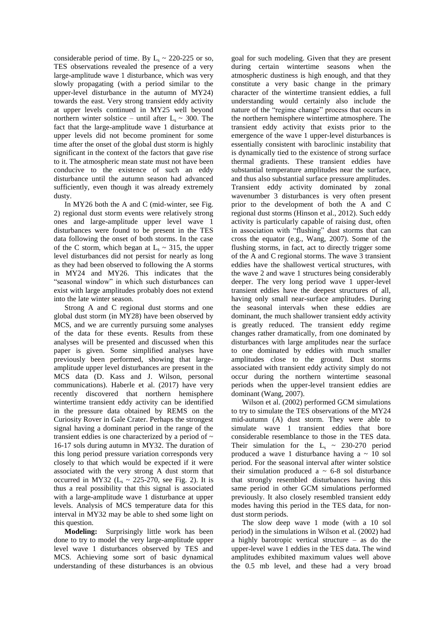considerable period of time. By  $L_s \sim 220{\text -}225$  or so, TES observations revealed the presence of a very large-amplitude wave 1 disturbance, which was very slowly propagating (with a period similar to the upper-level disturbance in the autumn of MY24) towards the east. Very strong transient eddy activity at upper levels continued in MY25 well beyond northern winter solstice – until after  $L_s \sim 300$ . The fact that the large-amplitude wave 1 disturbance at upper levels did not become prominent for some time after the onset of the global dust storm is highly significant in the context of the factors that gave rise to it. The atmospheric mean state must not have been conducive to the existence of such an eddy disturbance until the autumn season had advanced sufficiently, even though it was already extremely dusty.

In MY26 both the A and C (mid-winter, see Fig. 2) regional dust storm events were relatively strong ones and large-amplitude upper level wave 1 disturbances were found to be present in the TES data following the onset of both storms. In the case of the C storm, which began at  $L_s \sim 315$ , the upper level disturbances did not persist for nearly as long as they had been observed to following the A storms in MY24 and MY26. This indicates that the "seasonal window" in which such disturbances can exist with large amplitudes probably does not extend into the late winter season.

Strong A and C regional dust storms and one global dust storm (in MY28) have been observed by MCS, and we are currently pursuing some analyses of the data for these events. Results from these analyses will be presented and discussed when this paper is given. Some simplified analyses have previously been performed, showing that largeamplitude upper level disturbances are present in the MCS data (D. Kass and J. Wilson, personal communications). Haberle et al. (2017) have very recently discovered that northern hemisphere wintertime transient eddy activity can be identified in the pressure data obtained by REMS on the Curiosity Rover in Gale Crater. Perhaps the strongest signal having a dominant period in the range of the transient eddies is one characterized by a period of  $\sim$ 16-17 sols during autumn in MY32. The duration of this long period pressure variation corresponds very closely to that which would be expected if it were associated with the very strong A dust storm that occurred in MY32 ( $L_s \sim 225-270$ , see Fig. 2). It is thus a real possibility that this signal is associated with a large-amplitude wave 1 disturbance at upper levels. Analysis of MCS temperature data for this interval in MY32 may be able to shed some light on this question.

**Modeling:** Surprisingly little work has been done to try to model the very large-amplitude upper level wave 1 disturbances observed by TES and MCS. Achieving some sort of basic dynamical understanding of these disturbances is an obvious goal for such modeling. Given that they are present during certain wintertime seasons when the atmospheric dustiness is high enough, and that they constitute a very basic change in the primary character of the wintertime transient eddies, a full understanding would certainly also include the nature of the "regime change" process that occurs in the northern hemisphere wintertime atmosphere. The transient eddy activity that exists prior to the emergence of the wave 1 upper-level disturbances is essentially consistent with baroclinic instability that is dynamically tied to the existence of strong surface thermal gradients. These transient eddies have substantial temperature amplitudes near the surface, and thus also substantial surface pressure amplitudes. Transient eddy activity dominated by zonal wavenumber 3 disturbances is very often present prior to the development of both the A and C regional dust storms (Hinson et al., 2012). Such eddy activity is particularly capable of raising dust, often in association with "flushing" dust storms that can cross the equator (e.g., Wang, 2007). Some of the flushing storms, in fact, act to directly trigger some of the A and C regional storms. The wave 3 transient eddies have the shallowest vertical structures, with the wave 2 and wave 1 structures being considerably deeper. The very long period wave 1 upper-level transient eddies have the deepest structures of all, having only small near-surface amplitudes. During the seasonal intervals when these eddies are dominant, the much shallower transient eddy activity is greatly reduced. The transient eddy regime changes rather dramatically, from one dominated by disturbances with large amplitudes near the surface to one dominated by eddies with much smaller amplitudes close to the ground. Dust storms associated with transient eddy activity simply do not occur during the northern wintertime seasonal periods when the upper-level transient eddies are dominant (Wang, 2007).

Wilson et al. (2002) performed GCM simulations to try to simulate the TES observations of the MY24 mid-autumn (A) dust storm. They were able to simulate wave 1 transient eddies that bore considerable resemblance to those in the TES data. Their simulation for the  $L_s \sim 230{\text -}270$  period produced a wave 1 disturbance having  $a \sim 10$  sol period. For the seasonal interval after winter solstice their simulation produced a  $\sim$  6-8 sol disturbance that strongly resembled disturbances having this same period in other GCM simulations performed previously. It also closely resembled transient eddy modes having this period in the TES data, for nondust storm periods.

The slow deep wave 1 mode (with a 10 sol period) in the simulations in Wilson et al. (2002) had a highly barotropic vertical structure – as do the upper-level wave 1 eddies in the TES data. The wind amplitudes exhibited maximum values well above the 0.5 mb level, and these had a very broad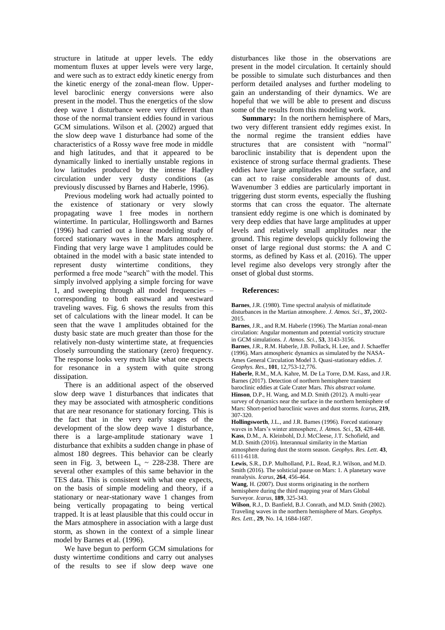structure in latitude at upper levels. The eddy momentum fluxes at upper levels were very large, and were such as to extract eddy kinetic energy from the kinetic energy of the zonal-mean flow. Upperlevel baroclinic energy conversions were also present in the model. Thus the energetics of the slow deep wave 1 disturbance were very different than those of the normal transient eddies found in various GCM simulations. Wilson et al. (2002) argued that the slow deep wave 1 disturbance had some of the characteristics of a Rossy wave free mode in middle and high latitudes, and that it appeared to be dynamically linked to inertially unstable regions in low latitudes produced by the intense Hadley circulation under very dusty conditions (as previously discussed by Barnes and Haberle, 1996).

Previous modeling work had actually pointed to the existence of stationary or very slowly propagating wave 1 free modes in northern wintertime. In particular, Hollingsworth and Barnes (1996) had carried out a linear modeling study of forced stationary waves in the Mars atmosphere. Finding that very large wave 1 amplitudes could be obtained in the model with a basic state intended to represent dusty wintertime conditions, they performed a free mode "search" with the model. This simply involved applying a simple forcing for wave 1, and sweeping through all model frequencies – corresponding to both eastward and westward traveling waves. Fig. 6 shows the results from this set of calculations with the linear model. It can be seen that the wave 1 amplitudes obtained for the dusty basic state are much greater than those for the relatively non-dusty wintertime state, at frequencies closely surrounding the stationary (zero) frequency. The response looks very much like what one expects for resonance in a system with quite strong dissipation.

There is an additional aspect of the observed slow deep wave 1 disturbances that indicates that they may be associated with atmospheric conditions that are near resonance for stationary forcing. This is the fact that in the very early stages of the development of the slow deep wave 1 disturbance, there is a large-amplitude stationary wave 1 disturbance that exhibits a sudden change in phase of almost 180 degrees. This behavior can be clearly seen in Fig. 3, between  $L_s \sim 228-238$ . There are several other examples of this same behavior in the TES data. This is consistent with what one expects, on the basis of simple modeling and theory, if a stationary or near-stationary wave 1 changes from being vertically propagating to being vertical trapped. It is at least plausible that this could occur in the Mars atmosphere in association with a large dust storm, as shown in the context of a simple linear model by Barnes et al. (1996).

We have begun to perform GCM simulations for dusty wintertime conditions and carry out analyses of the results to see if slow deep wave one disturbances like those in the observations are present in the model circulation. It certainly should be possible to simulate such disturbances and then perform detailed analyses and further modeling to gain an understanding of their dynamics. We are hopeful that we will be able to present and discuss some of the results from this modeling work.

**Summary:** In the northern hemisphere of Mars, two very different transient eddy regimes exist. In the normal regime the transient eddies have structures that are consistent with "normal" baroclinic instability that is dependent upon the existence of strong surface thermal gradients. These eddies have large amplitudes near the surface, and can act to raise considerable amounts of dust. Wavenumber 3 eddies are particularly important in triggering dust storm events, especially the flushing storms that can cross the equator. The alternate transient eddy regime is one which is dominated by very deep eddies that have large amplitudes at upper levels and relatively small amplitudes near the ground. This regime develops quickly following the onset of large regional dust storms: the A and C storms, as defined by Kass et al. (2016). The upper level regime also develops very strongly after the onset of global dust storms.

## **References:**

**Barnes**, J.R. (1980). Time spectral analysis of midlatitude disturbances in the Martian atmosphere. *J. Atmos. Sci*., **37,** 2002- 2015.

**Barnes**, J.R., and R.M. Haberle (1996). The Martian zonal-mean circulation: Angular momentum and potential vorticity structure in GCM simulations. *J. Atmos. Sci.*, **53**, 3143-3156.

**Barnes**, J.R., R.M. Haberle, J.B. Pollack, H. Lee, and J. Schaeffer (1996). Mars atmospheric dynamics as simulated by the NASA-Ames General Circulation Model 3. Quasi-stationary eddies. *J. Geophys. Res.*, **101**, 12,753-12,776.

**Haberle**, R.M., M.A. Kahre, M. De La Torre, D.M. Kass, and J.R. Barnes (2017). Detection of northern hemisphere transient baroclinic eddies at Gale Crater Mars. *This abstract volume.* **Hinson**, D.P., H. Wang, and M.D. Smith (2012). A multi-year survey of dynamics near the surface in the northern hemisphere of

Mars: Short-period baroclinic waves and dust storms. *Icarus,* **219**, 307-320.

**Hollingsworth**, J.L., and J.R. Barnes (1996). Forced stationary waves in Mars's winter atmosphere, *J. Atmos. Sci.,* **53**, 428-448. **Kass**, D.M., A. Kleinbohl, D.J. McCleese, J.T. Schofield, and M.D. Smith (2016). Interannual similarity in the Martian atmosphere during dust the storm season. *Geophys. Res. Lett*. **43**, 6111-6118.

**Lewis**, S.R., D.P. Mulholland, P.L. Read, R.J. Wilson, and M.D. Smith (2016). The solsticial pause on Mars: 1. A planetary wave reanalysis. *Icarus*, **264**, 456-464.

**Wang**, H. (2007). Dust storms originating in the northern hemisphere during the third mapping year of Mars Global Surveyor. *Icarus*, **189**, 325-343.

**Wilson**, R.J., D. Banfield, B.J. Conrath, and M.D. Smith (2002). Traveling waves in the northern hemisphere of Mars. *Geophys. Res. Lett.*, **29**, No. 14, 1684-1687.